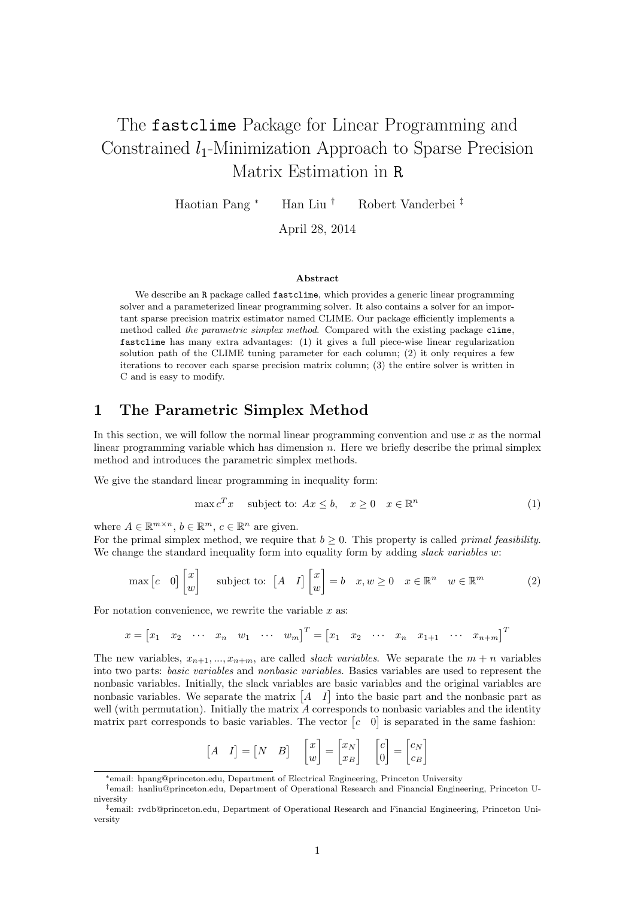# The fastclime Package for Linear Programming and Constrained  $l_1$ -Minimization Approach to Sparse Precision Matrix Estimation in R

Haotian Pang <sup>∗</sup> Han Liu † Robert Vanderbei ‡

April 28, 2014

#### Abstract

We describe an R package called fastclime, which provides a generic linear programming solver and a parameterized linear programming solver. It also contains a solver for an important sparse precision matrix estimator named CLIME. Our package efficiently implements a method called the parametric simplex method. Compared with the existing package clime, fastclime has many extra advantages: (1) it gives a full piece-wise linear regularization solution path of the CLIME tuning parameter for each column; (2) it only requires a few iterations to recover each sparse precision matrix column; (3) the entire solver is written in C and is easy to modify.

## 1 The Parametric Simplex Method

In this section, we will follow the normal linear programming convention and use x as the normal linear programming variable which has dimension  $n$ . Here we briefly describe the primal simplex method and introduces the parametric simplex methods.

We give the standard linear programming in inequality form:

$$
\max c^T x \quad \text{subject to: } Ax \leq b, \quad x \geq 0 \quad x \in \mathbb{R}^n \tag{1}
$$

where  $A \in \mathbb{R}^{m \times n}$ ,  $b \in \mathbb{R}^m$ ,  $c \in \mathbb{R}^n$  are given.

For the primal simplex method, we require that  $b \geq 0$ . This property is called *primal feasibility*. We change the standard inequality form into equality form by adding slack variables w:

$$
\max\begin{bmatrix}c&0\end{bmatrix}\begin{bmatrix}x\\w\end{bmatrix}\quad\text{ subject to: }\begin{bmatrix}A&I\end{bmatrix}\begin{bmatrix}x\\w\end{bmatrix}=b\quad x,w\geq 0\quad x\in\mathbb{R}^n\quad w\in\mathbb{R}^m\tag{2}
$$

For notation convenience, we rewrite the variable  $x$  as:

$$
x = [x_1 \ x_2 \ \cdots \ x_n \ w_1 \ \cdots \ w_m]^T = [x_1 \ x_2 \ \cdots \ x_n \ x_{1+1} \ \cdots \ x_{n+m}]^T
$$

The new variables,  $x_{n+1},..., x_{n+m}$ , are called *slack variables*. We separate the  $m+n$  variables into two parts: basic variables and nonbasic variables. Basics variables are used to represent the nonbasic variables. Initially, the slack variables are basic variables and the original variables are nonbasic variables. We separate the matrix  $\begin{bmatrix} A & I \end{bmatrix}$  into the basic part and the nonbasic part as well (with permutation). Initially the matrix A corresponds to nonbasic variables and the identity matrix part corresponds to basic variables. The vector  $[c \ 0]$  is separated in the same fashion:

$$
\begin{bmatrix} A & I \end{bmatrix} = \begin{bmatrix} N & B \end{bmatrix} \quad \begin{bmatrix} x \\ w \end{bmatrix} = \begin{bmatrix} x_N \\ x_B \end{bmatrix} \quad \begin{bmatrix} c \\ 0 \end{bmatrix} = \begin{bmatrix} c_N \\ c_B \end{bmatrix}
$$

<sup>∗</sup>email: hpang@princeton.edu, Department of Electrical Engineering, Princeton University

<sup>†</sup>email: hanliu@princeton.edu, Department of Operational Research and Financial Engineering, Princeton University

<sup>‡</sup>email: rvdb@princeton.edu, Department of Operational Research and Financial Engineering, Princeton University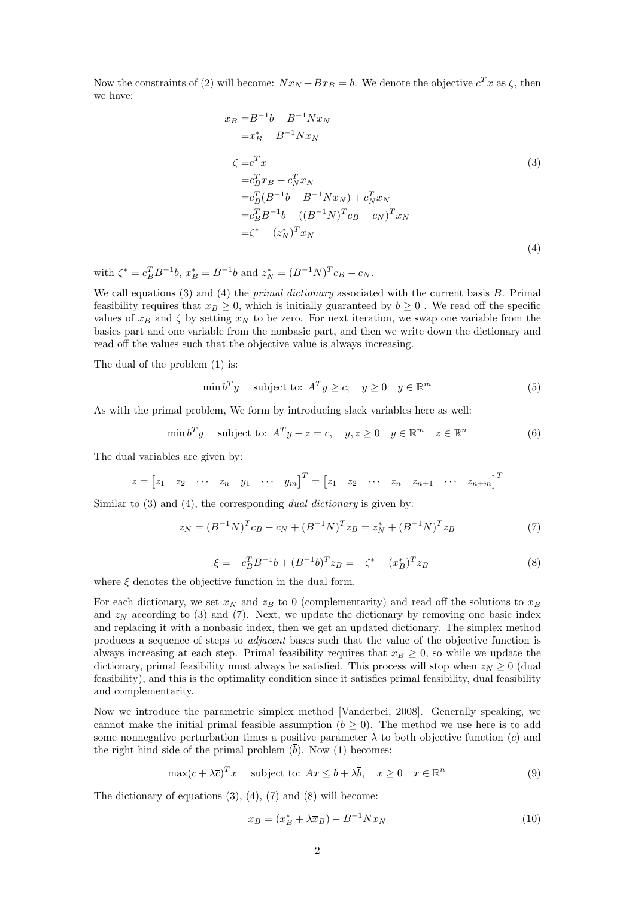Now the constraints of (2) will become:  $Nx_N+Bx_B=b$ . We denote the objective  $c^Tx$  as  $\zeta$ , then we have:

$$
x_B = B^{-1}b - B^{-1}Nx_N
$$
  
\n
$$
= x_B^* - B^{-1}Nx_N
$$
  
\n
$$
\zeta = c_x^T x_B + c_N^T x_N
$$
  
\n
$$
= c_B^T B^{-1}b - B^{-1}Nx_N + c_N^T x_N
$$
  
\n
$$
= c_B^T B^{-1}b - ((B^{-1}N)^T c_B - c_N)^T x_N
$$
  
\n
$$
= \zeta^* - (z_N^*)^T x_N
$$
  
\n(4)

with  $\zeta^* = c_B^T B^{-1} b$ ,  $x_B^* = B^{-1} b$  and  $z_N^* = (B^{-1} N)^T c_B - c_N$ .

We call equations  $(3)$  and  $(4)$  the *primal dictionary* associated with the current basis  $B$ . Primal feasibility requires that  $x_B \geq 0$ , which is initially guaranteed by  $b \geq 0$ . We read off the specific values of  $x_B$  and  $\zeta$  by setting  $x_N$  to be zero. For next iteration, we swap one variable from the basics part and one variable from the nonbasic part, and then we write down the dictionary and read off the values such that the objective value is always increasing.

The dual of the problem (1) is:

$$
\min b^T y \quad \text{subject to: } A^T y \ge c, \quad y \ge 0 \quad y \in \mathbb{R}^m \tag{5}
$$

As with the primal problem, We form by introducing slack variables here as well:

$$
\min b^T y \quad \text{subject to: } A^T y - z = c, \quad y, z \ge 0 \quad y \in \mathbb{R}^m \quad z \in \mathbb{R}^n \tag{6}
$$

The dual variables are given by:

$$
z = [z_1 \quad z_2 \quad \cdots \quad z_n \quad y_1 \quad \cdots \quad y_m]^T = [z_1 \quad z_2 \quad \cdots \quad z_n \quad z_{n+1} \quad \cdots \quad z_{n+m}]^T
$$

Similar to  $(3)$  and  $(4)$ , the corresponding *dual dictionary* is given by:

$$
z_N = (B^{-1}N)^T c_B - c_N + (B^{-1}N)^T z_B = z_N^* + (B^{-1}N)^T z_B \tag{7}
$$

$$
-\xi = -c_B^T B^{-1} b + (B^{-1} b)^T z_B = -\zeta^* - (x_B^*)^T z_B \tag{8}
$$

where  $\xi$  denotes the objective function in the dual form.

For each dictionary, we set  $x_N$  and  $z_B$  to 0 (complementarity) and read off the solutions to  $x_B$ and  $z_N$  according to (3) and (7). Next, we update the dictionary by removing one basic index and replacing it with a nonbasic index, then we get an updated dictionary. The simplex method produces a sequence of steps to *adjacent* bases such that the value of the objective function is always increasing at each step. Primal feasibility requires that  $x_B \geq 0$ , so while we update the dictionary, primal feasibility must always be satisfied. This process will stop when  $z_N \geq 0$  (dual feasibility), and this is the optimality condition since it satisfies primal feasibility, dual feasibility and complementarity.

Now we introduce the parametric simplex method [Vanderbei, 2008]. Generally speaking, we cannot make the initial primal feasible assumption  $(b \ge 0)$ . The method we use here is to add some nonnegative perturbation times a positive parameter  $\lambda$  to both objective function ( $\bar{c}$ ) and the right hind side of the primal problem  $(\overline{b})$ . Now (1) becomes:

$$
\max(c + \lambda \overline{c})^T x \quad \text{subject to: } Ax \le b + \lambda \overline{b}, \quad x \ge 0 \quad x \in \mathbb{R}^n
$$
 (9)

The dictionary of equations (3), (4), (7) and (8) will become:

$$
x_B = (x_B^* + \lambda \overline{x}_B) - B^{-1} N x_N \tag{10}
$$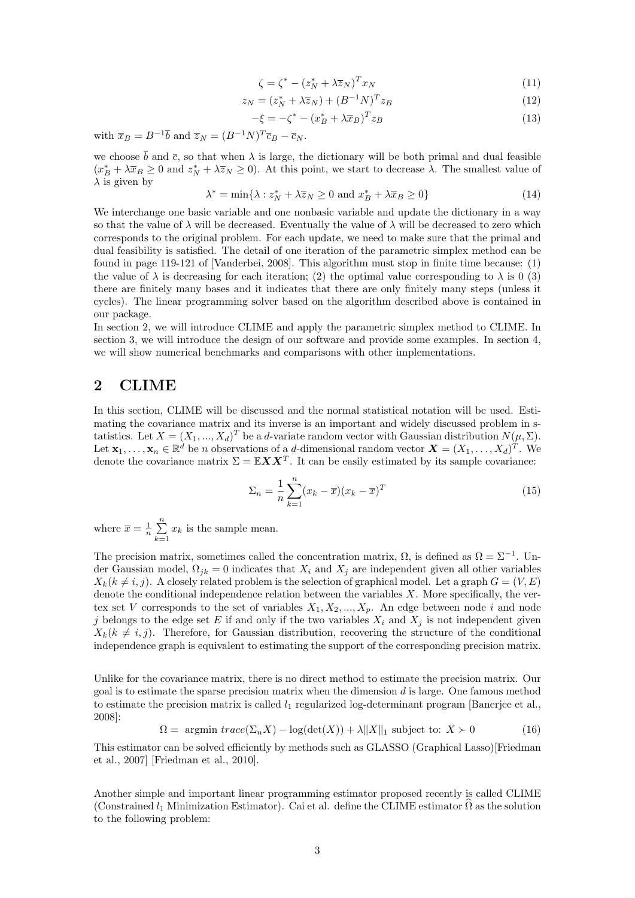$$
\zeta = \zeta^* - (z_N^* + \lambda \overline{z}_N)^T x_N \tag{11}
$$

$$
z_N = (z_N^* + \lambda \overline{z}_N) + (B^{-1}N)^T z_B \tag{12}
$$

$$
-\xi = -\zeta^* - (x_B^* + \lambda \overline{x}_B)^T z_B \tag{13}
$$

with  $\overline{x}_B = B^{-1} \overline{b}$  and  $\overline{z}_N = (B^{-1}N)^T \overline{c}_B - \overline{c}_N$ .

we choose  $\bar{b}$  and  $\bar{c}$ , so that when  $\lambda$  is large, the dictionary will be both primal and dual feasible  $(x_B^* + \lambda \overline{x}_B \ge 0$  and  $z_N^* + \lambda \overline{z}_N \ge 0)$ . At this point, we start to decrease  $\lambda$ . The smallest value of  $\lambda$  is given by

$$
\lambda^* = \min\{\lambda : z_N^* + \lambda \overline{z}_N \ge 0 \text{ and } x_B^* + \lambda \overline{x}_B \ge 0\}
$$
 (14)

We interchange one basic variable and one nonbasic variable and update the dictionary in a way so that the value of  $\lambda$  will be decreased. Eventually the value of  $\lambda$  will be decreased to zero which corresponds to the original problem. For each update, we need to make sure that the primal and dual feasibility is satisfied. The detail of one iteration of the parametric simplex method can be found in page 119-121 of [Vanderbei, 2008]. This algorithm must stop in finite time because: (1) the value of  $\lambda$  is decreasing for each iteration; (2) the optimal value corresponding to  $\lambda$  is 0 (3) there are finitely many bases and it indicates that there are only finitely many steps (unless it cycles). The linear programming solver based on the algorithm described above is contained in our package.

In section 2, we will introduce CLIME and apply the parametric simplex method to CLIME. In section 3, we will introduce the design of our software and provide some examples. In section 4, we will show numerical benchmarks and comparisons with other implementations.

### 2 CLIME

In this section, CLIME will be discussed and the normal statistical notation will be used. Estimating the covariance matrix and its inverse is an important and widely discussed problem in statistics. Let  $X = (X_1, ..., X_d)^T$  be a d-variate random vector with Gaussian distribution  $N(\mu, \Sigma)$ . Let  $\mathbf{x}_1,\ldots,\mathbf{x}_n\in\mathbb{R}^d$  be n observations of a d-dimensional random vector  $\mathbf{X}=(X_1,\ldots,X_d)^T$ . We denote the covariance matrix  $\Sigma = \mathbb{E} \mathbf{X} \mathbf{X}^T$ . It can be easily estimated by its sample covariance:

$$
\Sigma_n = \frac{1}{n} \sum_{k=1}^n (x_k - \overline{x})(x_k - \overline{x})^T
$$
\n(15)

where  $\overline{x} = \frac{1}{n} \sum_{k=1}^{n} x_k$  is the sample mean.

The precision matrix, sometimes called the concentration matrix,  $\Omega$ , is defined as  $\Omega = \Sigma^{-1}$ . Under Gaussian model,  $\Omega_{ik} = 0$  indicates that  $X_i$  and  $X_j$  are independent given all other variables  $X_k(k \neq i, j)$ . A closely related problem is the selection of graphical model. Let a graph  $G = (V, E)$ denote the conditional independence relation between the variables  $X$ . More specifically, the vertex set V corresponds to the set of variables  $X_1, X_2, ..., X_p$ . An edge between node i and node i belongs to the edge set E if and only if the two variables  $X_i$  and  $X_j$  is not independent given  $X_k(k \neq i, j)$ . Therefore, for Gaussian distribution, recovering the structure of the conditional independence graph is equivalent to estimating the support of the corresponding precision matrix.

Unlike for the covariance matrix, there is no direct method to estimate the precision matrix. Our goal is to estimate the sparse precision matrix when the dimension  $d$  is large. One famous method to estimate the precision matrix is called  $l_1$  regularized log-determinant program [Banerjee et al., 2008]:

$$
\Omega = \text{ argmin } trace(\Sigma_n X) - \log(\det(X)) + \lambda \|X\|_1 \text{ subject to: } X \succ 0 \tag{16}
$$

This estimator can be solved efficiently by methods such as GLASSO (Graphical Lasso)[Friedman et al., 2007] [Friedman et al., 2010].

Another simple and important linear programming estimator proposed recently is called CLIME (Constrained  $l_1$  Minimization Estimator). Cai et al. define the CLIME estimator  $\widehat{\Omega}$  as the solution to the following problem: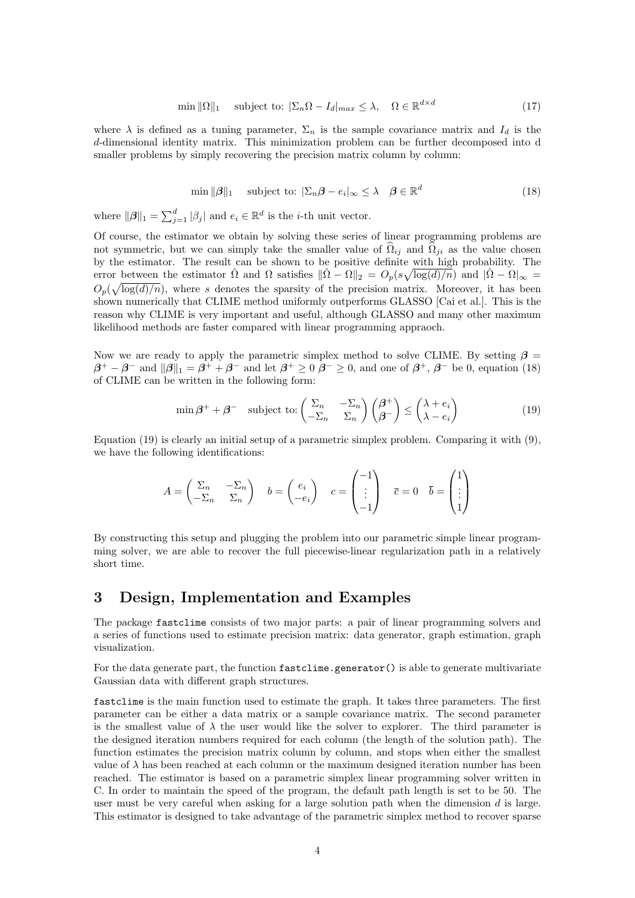$$
\min \|\Omega\|_1 \quad \text{subject to: } |\Sigma_n \Omega - I_d|_{max} \le \lambda, \quad \Omega \in \mathbb{R}^{d \times d} \tag{17}
$$

where  $\lambda$  is defined as a tuning parameter,  $\Sigma_n$  is the sample covariance matrix and  $I_d$  is the d-dimensional identity matrix. This minimization problem can be further decomposed into d smaller problems by simply recovering the precision matrix column by column:

$$
\min \|\boldsymbol{\beta}\|_1 \quad \text{subject to: } |\Sigma_n \boldsymbol{\beta} - e_i|_{\infty} \le \lambda \quad \boldsymbol{\beta} \in \mathbb{R}^d \tag{18}
$$

where  $||\boldsymbol{\beta}||_1 = \sum_{j=1}^d |\beta_j|$  and  $e_i \in \mathbb{R}^d$  is the *i*-th unit vector.

Of course, the estimator we obtain by solving these series of linear programming problems are not symmetric, but we can simply take the smaller value of  $\hat{\Omega}_{ii}$  and  $\hat{\Omega}_{ii}$  as the value chosen by the estimator. The result can be shown to be positive definite with high probability. The error between the estimator  $\hat{\Omega}$  and  $\Omega$  satisfies  $\|\hat{\Omega} - \Omega\|_2 = O_p(s\sqrt{\log(d)/n})$  and  $|\hat{\Omega} - \Omega|_{\infty} =$  $O_p(\sqrt{\log(d)/n})$ , where s denotes the sparsity of the precision matrix. Moreover, it has been shown numerically that CLIME method uniformly outperforms GLASSO [Cai et al.]. This is the reason why CLIME is very important and useful, although GLASSO and many other maximum likelihood methods are faster compared with linear programming appraoch.

Now we are ready to apply the parametric simplex method to solve CLIME. By setting  $\beta =$  $\beta^+ - \beta^-$  and  $\|\beta\|_1 = \beta^+ + \beta^-$  and let  $\beta^+ \geq 0$   $\beta^- \geq 0$ , and one of  $\beta^+$ ,  $\beta^-$  be 0, equation (18) of CLIME can be written in the following form:

$$
\min \beta^+ + \beta^- \quad \text{subject to:} \begin{pmatrix} \Sigma_n & -\Sigma_n \\ -\Sigma_n & \Sigma_n \end{pmatrix} \begin{pmatrix} \beta^+ \\ \beta^- \end{pmatrix} \le \begin{pmatrix} \lambda + e_i \\ \lambda - e_i \end{pmatrix} \tag{19}
$$

Equation (19) is clearly an initial setup of a parametric simplex problem. Comparing it with (9), we have the following identifications:

$$
A=\begin{pmatrix} \Sigma_n & -\Sigma_n \\ -\Sigma_n & \Sigma_n \end{pmatrix} \quad b=\begin{pmatrix} e_i \\ -e_i \end{pmatrix} \quad c=\begin{pmatrix} -1 \\ \vdots \\ -1 \end{pmatrix} \quad \overline{c}=0 \quad \overline{b}=\begin{pmatrix} 1 \\ \vdots \\ 1 \end{pmatrix}
$$

By constructing this setup and plugging the problem into our parametric simple linear programming solver, we are able to recover the full piecewise-linear regularization path in a relatively short time.

### 3 Design, Implementation and Examples

The package fastclime consists of two major parts: a pair of linear programming solvers and a series of functions used to estimate precision matrix: data generator, graph estimation, graph visualization.

For the data generate part, the function fastclime.generator() is able to generate multivariate Gaussian data with different graph structures.

fastclime is the main function used to estimate the graph. It takes three parameters. The first parameter can be either a data matrix or a sample covariance matrix. The second parameter is the smallest value of  $\lambda$  the user would like the solver to explorer. The third parameter is the designed iteration numbers required for each column (the length of the solution path). The function estimates the precision matrix column by column, and stops when either the smallest value of  $\lambda$  has been reached at each column or the maximum designed iteration number has been reached. The estimator is based on a parametric simplex linear programming solver written in C. In order to maintain the speed of the program, the default path length is set to be 50. The user must be very careful when asking for a large solution path when the dimension  $d$  is large. This estimator is designed to take advantage of the parametric simplex method to recover sparse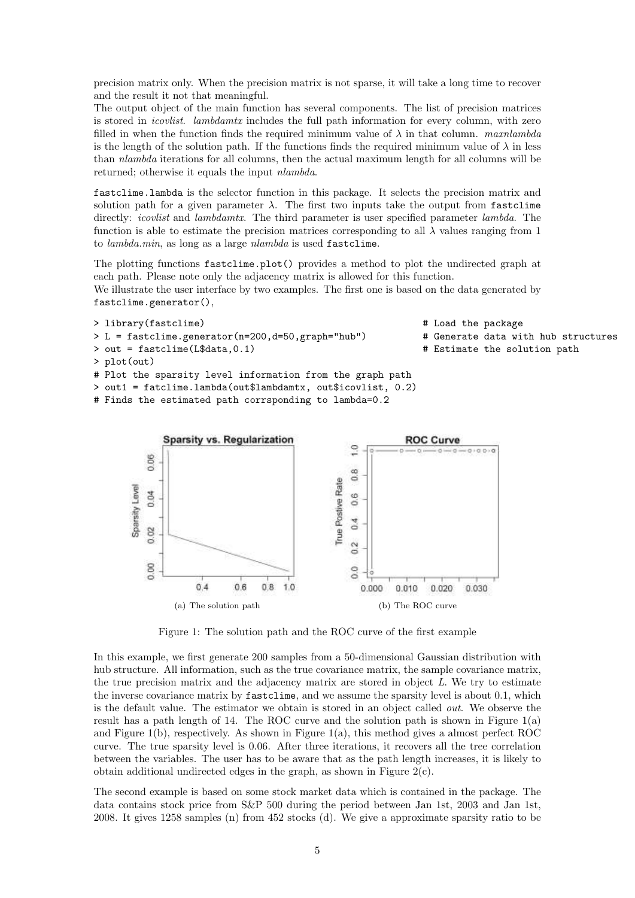precision matrix only. When the precision matrix is not sparse, it will take a long time to recover and the result it not that meaningful.

The output object of the main function has several components. The list of precision matrices is stored in *icovlist. lambdamtx* includes the full path information for every column, with zero filled in when the function finds the required minimum value of  $\lambda$  in that column. maxnlambda is the length of the solution path. If the functions finds the required minimum value of  $\lambda$  in less than nlambda iterations for all columns, then the actual maximum length for all columns will be returned; otherwise it equals the input nlambda.

fastclime.lambda is the selector function in this package. It selects the precision matrix and solution path for a given parameter  $\lambda$ . The first two inputs take the output from fastclime directly: *icovlist* and *lambdamtx*. The third parameter is user specified parameter *lambda*. The function is able to estimate the precision matrices corresponding to all  $\lambda$  values ranging from 1 to lambda.min, as long as a large nlambda is used fastclime.

The plotting functions fastclime.plot() provides a method to plot the undirected graph at each path. Please note only the adjacency matrix is allowed for this function. We illustrate the user interface by two examples. The first one is based on the data generated by fastclime.generator(),





Figure 1: The solution path and the ROC curve of the first example

In this example, we first generate 200 samples from a 50-dimensional Gaussian distribution with hub structure. All information, such as the true covariance matrix, the sample covariance matrix, the true precision matrix and the adjacency matrix are stored in object  $\tilde{L}$ . We try to estimate the inverse covariance matrix by fastclime, and we assume the sparsity level is about 0.1, which is the default value. The estimator we obtain is stored in an object called out. We observe the result has a path length of 14. The ROC curve and the solution path is shown in Figure 1(a) and Figure 1(b), respectively. As shown in Figure 1(a), this method gives a almost perfect ROC curve. The true sparsity level is 0.06. After three iterations, it recovers all the tree correlation between the variables. The user has to be aware that as the path length increases, it is likely to obtain additional undirected edges in the graph, as shown in Figure 2(c).

The second example is based on some stock market data which is contained in the package. The data contains stock price from S&P 500 during the period between Jan 1st, 2003 and Jan 1st, 2008. It gives 1258 samples (n) from 452 stocks (d). We give a approximate sparsity ratio to be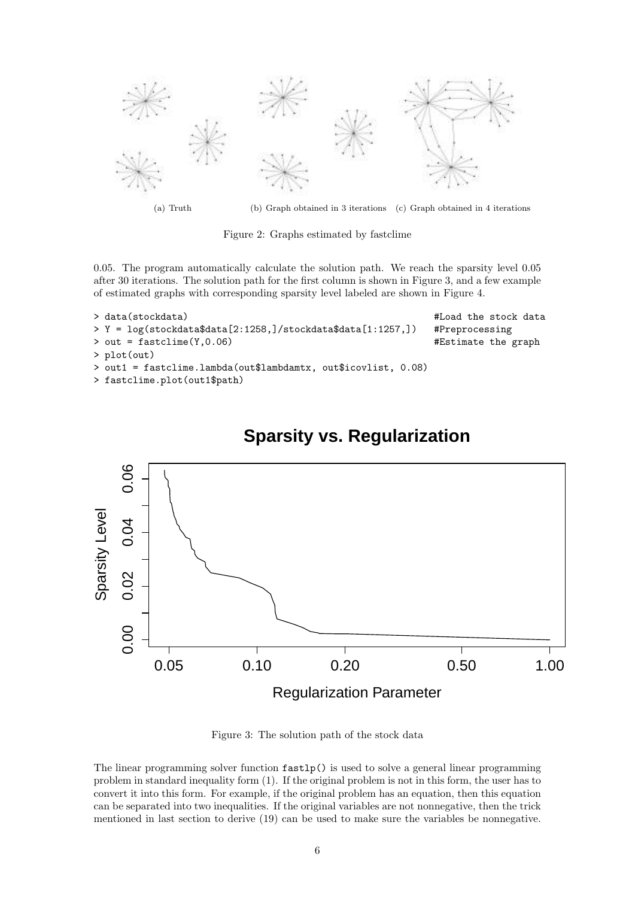

(a) Truth (b) Graph obtained in 3 iterations (c) Graph obtained in 4 iterations

Figure 2: Graphs estimated by fastclime

0.05. The program automatically calculate the solution path. We reach the sparsity level 0.05 after 30 iterations. The solution path for the first column is shown in Figure 3, and a few example of estimated graphs with corresponding sparsity level labeled are shown in Figure 4.

```
> data(stockdata) #Load the stock data<br>> Y = log(stockdata$data[2:1258.]/stockdata$data[1:1257.]) #Preprocessing
> Y = \log(\text{stockdata$data[2:1258.]/stockdata$data[1:1257.])}> out = fastclime(Y,0.06) #Estimate the graph
> plot(out)
> out1 = fastclime.lambda(out$lambdamtx, out$icovlist, 0.08)
> fastclime.plot(out1$path)
```


## **Sparsity vs. Regularization**

Figure 3: The solution path of the stock data

The linear programming solver function fastlp() is used to solve a general linear programming problem in standard inequality form (1). If the original problem is not in this form, the user has to convert it into this form. For example, if the original problem has an equation, then this equation can be separated into two inequalities. If the original variables are not nonnegative, then the trick mentioned in last section to derive (19) can be used to make sure the variables be nonnegative.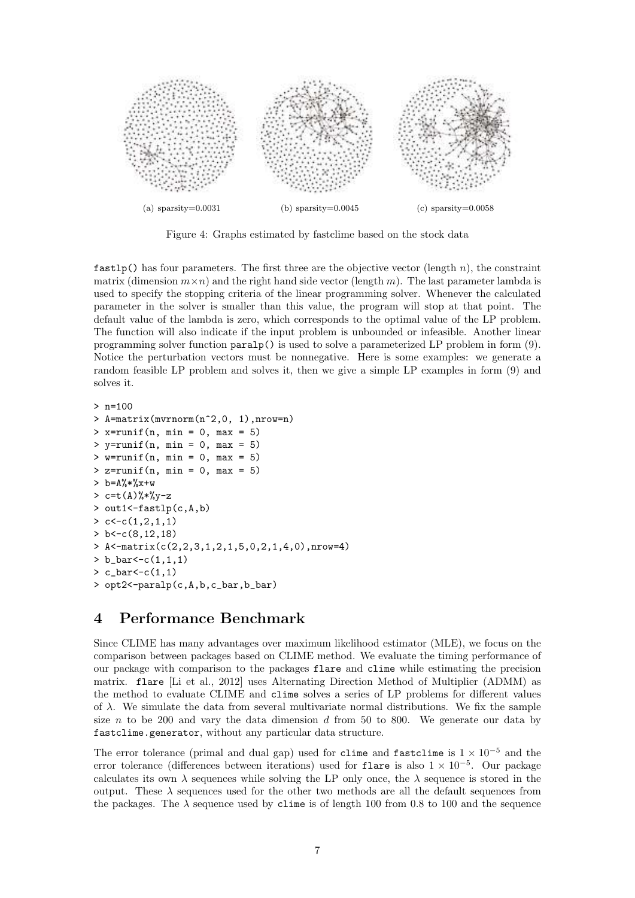

Figure 4: Graphs estimated by fastclime based on the stock data

 $fastlp()$  has four parameters. The first three are the objective vector (length  $n$ ), the constraint matrix (dimension  $m \times n$ ) and the right hand side vector (length m). The last parameter lambda is used to specify the stopping criteria of the linear programming solver. Whenever the calculated parameter in the solver is smaller than this value, the program will stop at that point. The default value of the lambda is zero, which corresponds to the optimal value of the LP problem. The function will also indicate if the input problem is unbounded or infeasible. Another linear programming solver function paralp() is used to solve a parameterized LP problem in form (9). Notice the perturbation vectors must be nonnegative. Here is some examples: we generate a random feasible LP problem and solves it, then we give a simple LP examples in form (9) and solves it.

```
> n=100
> A=matrix(mvrnorm(n^2,0, 1),nrow=n)
> x=runif(n, min = 0, max = 5)
> y=runif(n, min = 0, max = 5)
> w=runif(n, min = 0, max = 5)
> z=runif(n, min = 0, max = 5)
> b=A%*%x+w
> c=t(A)%*%y-z
> out1<-fastlp(c,A,b)
> c < -c(1, 2, 1, 1)> b < -c(8, 12, 18)> A<-matrix(c(2,2,3,1,2,1,5,0,2,1,4,0),nrow=4)
> b_bar < -(1,1,1)> c_{bar} < (1,1)> opt2<-paralp(c,A,b,c_bar,b_bar)
```
## 4 Performance Benchmark

Since CLIME has many advantages over maximum likelihood estimator (MLE), we focus on the comparison between packages based on CLIME method. We evaluate the timing performance of our package with comparison to the packages flare and clime while estimating the precision matrix. flare [Li et al., 2012] uses Alternating Direction Method of Multiplier (ADMM) as the method to evaluate CLIME and clime solves a series of LP problems for different values of  $\lambda$ . We simulate the data from several multivariate normal distributions. We fix the sample size  $n$  to be 200 and vary the data dimension  $d$  from 50 to 800. We generate our data by fastclime.generator, without any particular data structure.

The error tolerance (primal and dual gap) used for clime and fastclime is  $1 \times 10^{-5}$  and the error tolerance (differences between iterations) used for flare is also 1 × 10<sup>−</sup><sup>5</sup> . Our package calculates its own  $\lambda$  sequences while solving the LP only once, the  $\lambda$  sequence is stored in the output. These  $\lambda$  sequences used for the other two methods are all the default sequences from the packages. The  $\lambda$  sequence used by clime is of length 100 from 0.8 to 100 and the sequence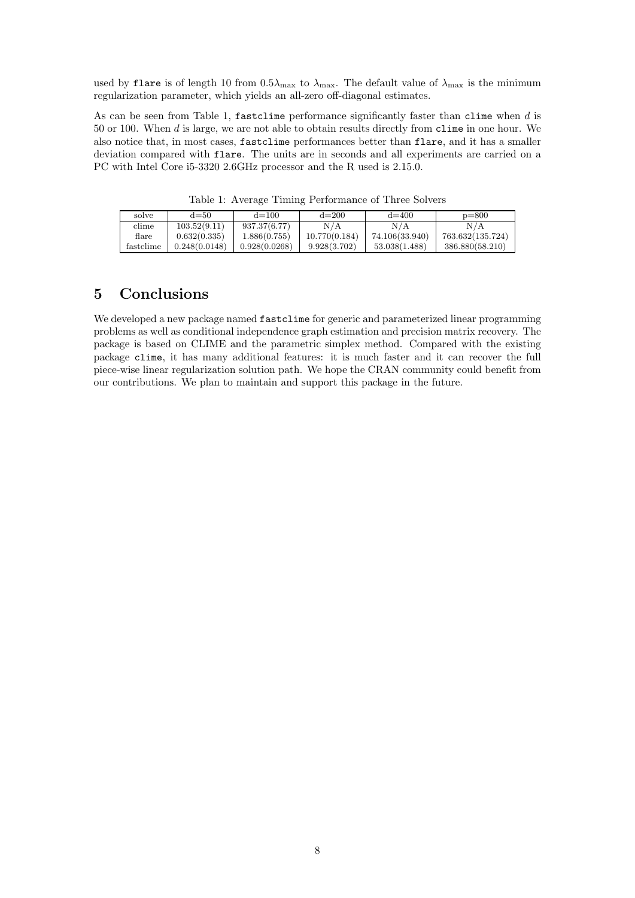used by flare is of length 10 from  $0.5\lambda_{\text{max}}$  to  $\lambda_{\text{max}}$ . The default value of  $\lambda_{\text{max}}$  is the minimum regularization parameter, which yields an all-zero off-diagonal estimates.

As can be seen from Table 1, fastclime performance significantly faster than clime when d is 50 or 100. When d is large, we are not able to obtain results directly from clime in one hour. We also notice that, in most cases, fastclime performances better than flare, and it has a smaller deviation compared with flare. The units are in seconds and all experiments are carried on a PC with Intel Core i5-3320 2.6GHz processor and the R used is 2.15.0.

| solve     | $d = 50$      | $d = 100$     | $d = 200$     | $d = 400$      | $p = 800$        |
|-----------|---------------|---------------|---------------|----------------|------------------|
| clime     | 103.52(9.11)  | 937.37(6.77)  | N/A           | N/A            | N/A              |
| flare     | 0.632(0.335)  | 1.886(0.755)  | 10.770(0.184) | 74.106(33.940) | 763.632(135.724) |
| fastclime | 0.248(0.0148) | 0.928(0.0268) | 9.928(3.702)  | 53.038(1.488)  | 386.880(58.210)  |

Table 1: Average Timing Performance of Three Solvers

### 5 Conclusions

We developed a new package named fastclime for generic and parameterized linear programming problems as well as conditional independence graph estimation and precision matrix recovery. The package is based on CLIME and the parametric simplex method. Compared with the existing package clime, it has many additional features: it is much faster and it can recover the full piece-wise linear regularization solution path. We hope the CRAN community could benefit from our contributions. We plan to maintain and support this package in the future.